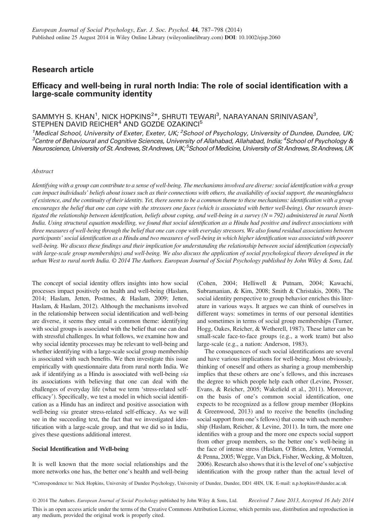## Research article

# Efficacy and well-being in rural north India: The role of social identification with a large-scale community identity

# SAMMYH S. KHAN<sup>1</sup>, NICK HOPKINS<sup>2\*</sup>, SHRUTI TEWARI<sup>3</sup>, NARAYANAN SRINIVASAN<sup>3</sup>, STEPHEN DAVID REICHER<sup>4</sup> AND GOZDE OZAKINCI<sup>5</sup>

<sup>1</sup>Medical School, University of Exeter, Exeter, UK; <sup>2</sup>School of Psychology, University of Dundee, Dundee, UK;  $^3$ Centre of Behavioural and Cognitive Sciences, University of Allahabad, Allahabad, India;  $^4$ School of Psychology & Neuroscience, University of St. Andrews, St Andrews, UK;<sup>5</sup> School of Medicine, University of St Andrews, St Andrews, UK

## Abstract

Identifying with a group can contribute to a sense of well-being. The mechanisms involved are diverse: social identification with a group can impact individuals' beliefs about issues such as their connections with others, the availability of social support, the meaningfulness of existence, and the continuity of their identity. Yet, there seems to be a common theme to these mechanisms: identification with a group encourages the belief that one can cope with the stressors one faces (which is associated with better well-being). Our research investigated the relationship between identification, beliefs about coping, and well-being in a survey  $(N = 792)$  administered in rural North India. Using structural equation modelling, we found that social identification as a Hindu had positive and indirect associations with three measures of well-being through the belief that one can cope with everyday stressors. We also found residual associations between participants' social identification as a Hindu and two measures of well-being in which higher identification was associated with poorer well-being. We discuss these findings and their implication for understanding the relationship between social identification (especially with large-scale group memberships) and well-being. We also discuss the application of social psychological theory developed in the urban West to rural north India. © 2014 The Authors. European Journal of Social Psychology published by John Wiley & Sons, Ltd.

The concept of social identity offers insights into how social processes impact positively on health and well-being (Haslam, 2014; Haslam, Jetten, Postmes, & Haslam, 2009; Jetten, Haslam, & Haslam, 2012). Although the mechanisms involved in the relationship between social identification and well-being are diverse, it seems they entail a common theme: identifying with social groups is associated with the belief that one can deal with stressful challenges. In what follows, we examine how and why social identity processes may be relevant to well-being and whether identifying with a large-scale social group membership is associated with such benefits. We then investigate this issue empirically with questionnaire data from rural north India. We ask if identifying as a Hindu is associated with well-being via its associations with believing that one can deal with the challenges of everyday life (what we term 'stress-related selfefficacy'). Specifically, we test a model in which social identification as a Hindu has an indirect and positive association with well-being via greater stress-related self-efficacy. As we will see in the succeeding text, the fact that we investigated identification with a large-scale group, and that we did so in India, gives these questions additional interest.

## Social Identification and Well-being

It is well known that the more social relationships and the more networks one has, the better one's health and well-being (Cohen, 2004; Helliwell & Putnam, 2004; Kawachi, Subramanian, & Kim, 2008; Smith & Christakis, 2008). The social identity perspective to group behavior enriches this literature in various ways. It argues we can think of ourselves in different ways: sometimes in terms of our personal identities and sometimes in terms of social group memberships (Turner, Hogg, Oakes, Reicher, & Wetherell, 1987). These latter can be small-scale face-to-face groups (e.g., a work team) but also large-scale (e.g., a nation: Anderson, 1983).

The consequences of such social identifications are several and have various implications for well-being. Most obviously, thinking of oneself and others as sharing a group membership implies that these others are one's fellows, and this increases the degree to which people help each other (Levine, Prosser, Evans, & Reicher, 2005; Wakefield et al., 2011). Moreover, on the basis of one's common social identification, one expects to be recognized as a fellow group member (Hopkins & Greenwood, 2013) and to receive the benefits (including social support from one's fellows) that come with such membership (Haslam, Reicher, & Levine, 2011). In turn, the more one identifies with a group and the more one expects social support from other group members, so the better one's well-being in the face of intense stress (Haslam, O'Brien, Jetten, Vormedal, & Penna, 2005; Wegge, Van Dick, Fisher, Wecking, & Moltzen, 2006). Research also shows that it is the level of one's subjective identification with the group rather than the actual level of

\*Correspondence to: Nick Hopkins, University of Dundee Psychology, University of Dundee, Dundee, DD1 4HN, UK. E-mail: n.p.hopkins@dundee.ac.uk

© 2014 The Authors. European Journal of Social Psychology published by John Wiley & Sons, Ltd. Received 7 June 2013, Accepted 16 July 2014 This is an open access article under the terms of the Creative Commons Attribution License, which permits use, distribution and reproduction in any medium, provided the original work is properly cited.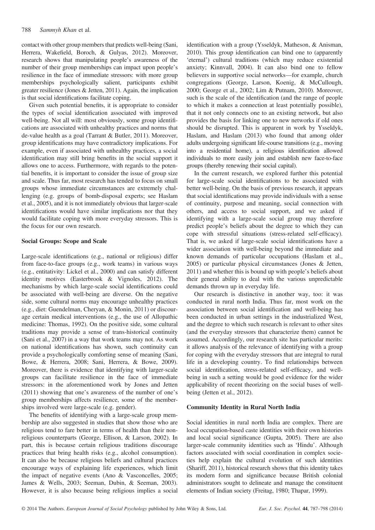contact with other group members that predicts well-being (Sani, Herrera, Wakefield, Boroch, & Gulyas, 2012). Moreover, research shows that manipulating people's awareness of the number of their group memberships can impact upon people's resilience in the face of immediate stressors: with more group memberships psychologically salient, participants exhibit greater resilience (Jones & Jetten, 2011). Again, the implication is that social identifications facilitate coping.

Given such potential benefits, it is appropriate to consider the types of social identification associated with improved well-being. Not all will: most obviously, some group identifications are associated with unhealthy practices and norms that de-value health as a goal (Tarrant & Butler, 2011). Moreover, group identifications may have contradictory implications. For example, even if associated with unhealthy practices, a social identification may still bring benefits in the social support it allows one to access. Furthermore, with regards to the potential benefits, it is important to consider the issue of group size and scale. Thus far, most research has tended to focus on small groups whose immediate circumstances are extremely challenging (e.g. groups of bomb-disposal experts; see Haslam et al., 2005), and it is not immediately obvious that larger-scale identifications would have similar implications nor that they would facilitate coping with more everyday stressors. This is the focus for our own research.

## Social Groups: Scope and Scale

Large-scale identifications (e.g., national or religious) differ from face-to-face groups (e.g., work teams) in various ways (e.g., entitativity: Lickel et al., 2000) and can satisfy different identity motives (Easterbrook & Vignoles, 2012). The mechanisms by which large-scale social identifications could be associated with well-being are diverse. On the negative side, some cultural norms may encourage unhealthy practices (e.g., diet: Guendelman, Cheryan, & Monin, 2011) or discourage certain medical interventions (e.g., the use of Allopathic medicine: Thomas, 1992). On the positive side, some cultural traditions may provide a sense of trans-historical continuity (Sani et al., 2007) in a way that work teams may not. As work on national identifications has shown, such continuity can provide a psychologically comforting sense of meaning (Sani, Bowe, & Herrera, 2008; Sani, Herrera, & Bowe, 2009). Moreover, there is evidence that identifying with larger-scale groups can facilitate resilience in the face of immediate stressors: in the aforementioned work by Jones and Jetten (2011) showing that one's awareness of the number of one's group memberships affects resilience, some of the memberships involved were large-scale (e.g. gender).

The benefits of identifying with a large-scale group membership are also suggested in studies that show those who are religious tend to fare better in terms of health than their nonreligious counterparts (George, Ellison, & Larson, 2002). In part, this is because certain religious traditions discourage practices that bring health risks (e.g., alcohol consumption). It can also be because religious beliefs and cultural practices encourage ways of explaining life experiences, which limit the impact of negative events (Ano & Vasconcelles, 2005; James & Wells, 2003; Seeman, Dubin, & Seeman, 2003). However, it is also because being religious implies a social

identification with a group (Ysseldyk, Matheson, & Anisman, 2010). This group identification can bind one to (apparently 'eternal') cultural traditions (which may reduce existential anxiety; Kinnvall, 2004). It can also bind one to fellow believers in supportive social networks—for example, church congregations (George, Larson, Koenig, & McCullough, 2000; George et al., 2002; Lim & Putnam, 2010). Moreover, such is the scale of the identification (and the range of people to which it makes a connection at least potentially possible), that it not only connects one to an existing network, but also provides the basis for linking one to new networks if old ones should be disrupted. This is apparent in work by Ysseldyk, Haslam, and Haslam (2013) who found that among older adults undergoing significant life-course transitions (e.g., moving into a residential home), a religious identification allowed individuals to more easily join and establish new face-to-face groups (thereby renewing their social capital).

In the current research, we explored further this potential for large-scale social identifications to be associated with better well-being. On the basis of previous research, it appears that social identifications may provide individuals with a sense of continuity, purpose and meaning, social connection with others, and access to social support, and we asked if identifying with a large-scale social group may therefore predict people's beliefs about the degree to which they can cope with stressful situations (stress-related self-efficacy). That is, we asked if large-scale social identifications have a wider association with well-being beyond the immediate and known demands of particular occupations (Haslam et al., 2005) or particular physical circumstances (Jones & Jetten, 2011) and whether this is bound up with people's beliefs about their general ability to deal with the various unpredictable demands thrown up in everyday life.

Our research is distinctive in another way, too: it was conducted in rural north India. Thus far, most work on the association between social identification and well-being has been conducted in urban settings in the industrialized West, and the degree to which such research is relevant to other sites (and the everyday stressors that characterize them) cannot be assumed. Accordingly, our research site has particular merits: it allows analysis of the relevance of identifying with a group for coping with the everyday stressors that are integral to rural life in a developing country. To find relationships between social identification, stress-related self-efficacy, and wellbeing in such a setting would be good evidence for the wider applicability of recent theorizing on the social bases of wellbeing (Jetten et al., 2012).

## Community Identity in Rural North India

Social identities in rural north India are complex. There are local occupation-based caste identities with their own histories and local social significance (Gupta, 2005). There are also larger-scale community identities such as 'Hindu'. Although factors associated with social coordination in complex societies help explain the cultural evolution of such identities (Shariff, 2011), historical research shows that this identity takes its modern form and significance because British colonial administrators sought to delineate and manage the constituent elements of Indian society (Freitag, 1980; Thapar, 1999).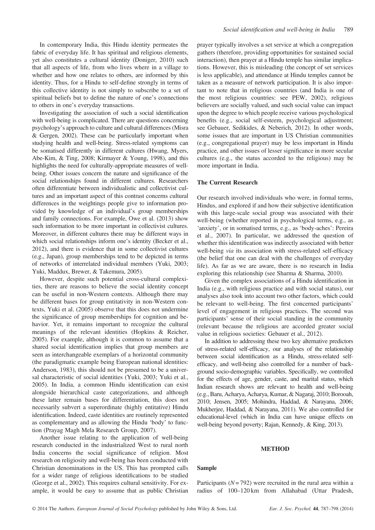In contemporary India, this Hindu identity permeates the fabric of everyday life. It has spiritual and religious elements, yet also constitutes a cultural identity (Doniger, 2010) such that all aspects of life, from who lives where in a village to whether and how one relates to others, are informed by this identity. Thus, for a Hindu to self-define strongly in terms of this collective identity is not simply to subscribe to a set of spiritual beliefs but to define the nature of one's connections to others in one's everyday transactions.

Investigating the association of such a social identification with well-being is complicated. There are questions concerning psychology's approach to culture and cultural differences (Misra & Gergen, 2002). These can be particularly important when studying health and well-being. Stress-related symptoms can be somatised differently in different cultures (Hwang, Myers, Abe-Kim, & Ting, 2008; Kirmayer & Young, 1998), and this highlights the need for culturally-appropriate measures of wellbeing. Other issues concern the nature and significance of the social relationships found in different cultures. Researchers often differentiate between individualistic and collectivist cultures and an important aspect of this contrast concerns cultural differences in the weightings people give to information provided by knowledge of an individual's group memberships and family connections. For example, Owe et al. (2013) show such information to be more important in collectivist cultures. Moreover, in different cultures there may be different ways in which social relationships inform one's identity (Becker et al., 2012), and there is evidence that in some collectivist cultures (e.g., Japan), group memberships tend to be depicted in terms of networks of interrelated individual members (Yuki, 2003; Yuki, Maddux, Brewer, & Takemura, 2005).

However, despite such potential cross-cultural complexities, there are reasons to believe the social identity concept can be useful in non-Western contexts. Although there may be different bases for group entitativity in non-Western contexts, Yuki et al. (2005) observe that this does not undermine the significance of group memberships for cognition and behavior. Yet, it remains important to recognize the cultural meanings of the relevant identities (Hopkins & Reicher, 2005). For example, although it is common to assume that a shared social identification implies that group members are seen as interchangeable exemplars of a horizontal community (the paradigmatic example being European national identities: Anderson, 1983), this should not be presumed to be a universal characteristic of social identities (Yuki, 2003; Yuki et al., 2005). In India, a common Hindu identification can exist alongside hierarchical caste categorizations, and although these latter remain bases for differentiation, this does not necessarily subvert a superordinate (highly entitative) Hindu identification. Indeed, caste identities are routinely represented as complementary and as allowing the Hindu 'body' to function (Prayag Magh Mela Research Group, 2007).

Another issue relating to the application of well-being research conducted in the industrialized West to rural north India concerns the social significance of religion. Most research on religiosity and well-being has been conducted with Christian denominations in the US. This has prompted calls for a wider range of religious identifications to be studied (George et al., 2002). This requires cultural sensitivity. For example, it would be easy to assume that as public Christian prayer typically involves a set service at which a congregation gathers (therefore, providing opportunities for sustained social interaction), then prayer at a Hindu temple has similar implications. However, this is misleading (the concept of set services is less applicable), and attendance at Hindu temples cannot be taken as a measure of network participation. It is also important to note that in religious countries (and India is one of the most religious countries: see PEW, 2002), religious believers are socially valued, and such social value can impact upon the degree to which people receive various psychological benefits (e.g., social self-esteem, psychological adjustment; see Gebauer, Sedikides, & Neberich, 2012). In other words, some issues that are important in US Christian communities (e.g., congregational prayer) may be less important in Hindu practice, and other issues of lesser significance in more secular cultures (e.g., the status accorded to the religious) may be more important in India.

## The Current Research

Our research involved individuals who were, in formal terms, Hindus, and explored if and how their subjective identification with this large-scale social group was associated with their well-being (whether reported in psychological terms, e.g., as 'anxiety', or in somatised terms, e.g., as 'body-aches': Pereira et al., 2007). In particular, we addressed the question of whether this identification was indirectly associated with better well-being *via* its association with stress-related self-efficacy (the belief that one can deal with the challenges of everyday life). As far as we are aware, there is no research in India exploring this relationship (see Sharma & Sharma, 2010).

Given the complex associations of a Hindu identification in India (e.g., with religious practice and with social status), our analyses also took into account two other factors, which could be relevant to well-being. The first concerned participants' level of engagement in religious practices. The second was participants' sense of their social standing in the community (relevant because the religious are accorded greater social value in religious societies: Gebauer et al., 2012).

In addition to addressing these two key alternative predictors of stress-related self-efficacy, our analyses of the relationship between social identification as a Hindu, stress-related selfefficacy, and well-being also controlled for a number of background socio-demographic variables. Specifically, we controlled for the effects of age, gender, caste, and marital status, which Indian research shows are relevant to health and well-being (e.g., Baru, Acharya, Acharya, Kumar, & Nagaraj, 2010; Borooah, 2010; Jensen, 2005; Mohindra, Haddad, & Narayana, 2006; Mukherjee, Haddad, & Narayana, 2011). We also controlled for educational-level (which in India can have unique effects on well-being beyond poverty; Rajan, Kennedy, & King, 2013).

#### METHOD

## Sample

Participants ( $N = 792$ ) were recruited in the rural area within a radius of 100–120 km from Allahabad (Uttar Pradesh,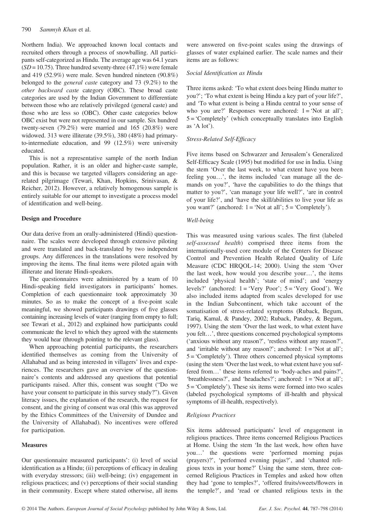Northern India). We approached known local contacts and recruited others through a process of snowballing. All participants self-categorized as Hindu. The average age was 64.1 years  $(SD = 10.75)$ . Three hundred seventy-three (47.1%) were female and 419 (52.9%) were male. Seven hundred nineteen (90.8%) belonged to the general caste category and 73 (9.2%) to the other backward caste category (OBC). These broad caste categories are used by the Indian Government to differentiate between those who are relatively privileged (general caste) and those who are less so (OBC). Other caste categories below OBC exist but were not represented in our sample. Six hundred twenty-seven (79.2%) were married and 165 (20.8%) were widowed. 313 were illiterate (39.5%), 380 (48%) had primaryto-intermediate education, and 99 (12.5%) were university educated.

This is not a representative sample of the north Indian population. Rather, it is an older and higher-caste sample, and this is because we targeted villagers considering an agerelated pilgrimage (Tewari, Khan, Hopkins, Srinivasan, & Reicher, 2012). However, a relatively homogenous sample is entirely suitable for our attempt to investigate a process model of identification and well-being.

## Design and Procedure

Our data derive from an orally-administered (Hindi) questionnaire. The scales were developed through extensive piloting and were translated and back-translated by two independent groups. Any differences in the translations were resolved by improving the items. The final items were piloted again with illiterate and literate Hindi-speakers.

The questionnaires were administered by a team of 10 Hindi-speaking field investigators in participants' homes. Completion of each questionnaire took approximately 30 minutes. So as to make the concept of a five-point scale meaningful, we showed participants drawings of five glasses containing increasing levels of water (ranging from empty to full; see Tewari et al., 2012) and explained how participants could communicate the level to which they agreed with the statements they would hear (through pointing to the relevant glass).

When approaching potential participants, the researchers identified themselves as coming from the University of Allahabad and as being interested in villagers' lives and experiences. The researchers gave an overview of the questionnaire's contents and addressed any questions that potential participants raised. After this, consent was sought ("Do we have your consent to participate in this survey study?"). Given literacy issues, the explanation of the research, the request for consent, and the giving of consent was oral (this was approved by the Ethics Committees of the University of Dundee and the University of Allahabad). No incentives were offered for participation.

## **Measures**

Our questionnaire measured participants': (i) level of social identification as a Hindu; (ii) perceptions of efficacy in dealing with everyday stressors; (iii) well-being; (iv) engagement in religious practices; and (v) perceptions of their social standing in their community. Except where stated otherwise, all items

were answered on five-point scales using the drawings of glasses of water explained earlier. The scale names and their items are as follows:

## Social Identification as Hindu

Three items asked: 'To what extent does being Hindu matter to you?'; 'To what extent is being Hindu a key part of your life?', and 'To what extent is being a Hindu central to your sense of who you are?' Responses were anchored:  $1 = 'Not at all';$ 5 = 'Completely' (which conceptually translates into English as  $'A$  lot $')$ .

## Stress-Related Self-Efficacy

Five items based on Schwarzer and Jerusalem's Generalized Self-Efficacy Scale (1995) but modified for use in India. Using the stem 'Over the last week, to what extent have you been feeling you…', the items included 'can manage all the demands on you?', 'have the capabilities to do the things that matter to you?', 'can manage your life well?', 'are in control of your life?', and 'have the skill/abilities to live your life as you want?' (anchored:  $1 = 'Not at all'; 5 = 'Completely').$ 

## Well-being

This was measured using various scales. The first (labeled self-assessed health) comprised three items from the internationally-used core module of the Centers for Disease Control and Prevention Health Related Quality of Life Measure (CDC HRQOL-14; 2000). Using the stem 'Over the last week, how would you describe your…', the items included 'physical health'; 'state of mind'; and 'energy levels?' (anchored: 1 = 'Very Poor'; 5= 'Very Good'). We also included items adapted from scales developed for use in the Indian Subcontinent, which take account of the somatisation of stress-related symptoms (Ruback, Begum, Tariq, Kamal, & Pandey, 2002; Ruback, Pandey, & Begum, 1997). Using the stem 'Over the last week, to what extent have you felt…', three questions concerned psychological symptoms ('anxious without any reason?', 'restless without any reason?', and 'irritable without any reason?'; anchored:  $1 = 'Not at all';$ 5 = 'Completely'). Three others concerned physical symptoms (using the stem 'Over the last week, to what extent have you suffered from…' these items referred to 'body-aches and pains?', 'breathlessness?', and 'headaches?'; anchored: 1 = 'Not at all'; 5 = 'Completely'). These six items were formed into two scales (labeled psychological symptoms of ill-health and physical symptoms of ill-health, respectively).

## Religious Practices

Six items addressed participants' level of engagement in religious practices. Three items concerned Religious Practices at Home. Using the stem 'In the last week, how often have you…' the questions were 'performed morning pujas (prayers)?', 'performed evening pujas?', and 'chanted religious texts in your home?' Using the same stem, three concerned Religious Practices in Temples and asked how often they had 'gone to temples?', 'offered fruits/sweets/flowers in the temple?', and 'read or chanted religious texts in the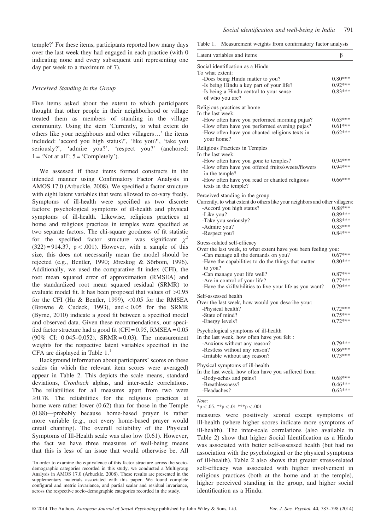temple?' For these items, participants reported how many days over the last week they had engaged in each practice (with 0 indicating none and every subsequent unit representing one day per week to a maximum of 7).

#### Perceived Standing in the Group

Five items asked about the extent to which participants thought that other people in their neighborhood or village treated them as members of standing in the village community. Using the stem 'Currently, to what extent do others like your neighbours and other villagers…' the items included: 'accord you high status?', 'like you?', 'take you seriously?', 'admire you?', 'respect you?' (anchored:  $1 = 'Not at all'; 5 = 'Completely').$ 

We assessed if these items formed constructs in the intended manner using Confirmatory Factor Analysis in AMOS 17.0 (Arbuckle, 2008). We specified a factor structure with eight latent variables that were allowed to co-vary freely. Symptoms of ill-health were specified as two discrete factors: psychological symptoms of ill-health and physical symptoms of ill-health. Likewise, religious practices at home and religious practices in temples were specified as two separate factors. The chi-square goodness of fit statistic for the specified factor structure was significant  $\chi^2$  $(322) = 914.37$ ,  $p < .001$ ). However, with a sample of this size, this does not necessarily mean the model should be rejected (e.g., Bentler, 1990; Jöreskog & Sörbom, 1996). Additionally, we used the comparative fit index (CFI), the root mean squared error of approximation (RMSEA) and the standardized root mean squared residual (SRMR) to evaluate model fit. It has been proposed that values of >0.95 for the CFI (Hu & Bentler, 1999),  $\langle 0.05$  for the RMSEA (Browne & Cudeck, 1993), and < 0.05 for the SRMR (Byrne, 2010) indicate a good fit between a specified model and observed data. Given these recommendations, our specified factor structure had a good fit (CFI =  $0.95$ , RMSEA =  $0.05$ ) (90% CI: 0.045–0.052), SRMR = 0.03). The measurement weights for the respective latent variables specified in the CFA are displayed in Table  $1<sup>1</sup>$ 

Background information about participants' scores on these scales (in which the relevant item scores were averaged) appear in Table 2. This depicts the scale means, standard deviations, *Cronbach* alphas, and inter-scale correlations. The reliabilities for all measures apart from two were  $\geq$ 0.78. The reliabilities for the religious practices at home were rather lower (0.62) than for those in the Temple (0.88)—probably because home-based prayer is rather more variable (e.g., not every home-based prayer would entail chanting). The overall reliability of the Physical Symptoms of Ill-Health scale was also low (0.61). However, the fact we have three measures of well-being means that this is less of an issue that would otherwise be. All

Table 1. Measurement weights from confirmatory factor analysis

| Latent variables and items                                                                                      | β                      |
|-----------------------------------------------------------------------------------------------------------------|------------------------|
| Social identification as a Hindu<br>To what extent:                                                             |                        |
| -Does being Hindu matter to you?                                                                                | $0.80***$              |
| -Is being Hindu a key part of your life?                                                                        | $0.92***$              |
| -Is being a Hindu central to your sense<br>of who you are?                                                      | $0.83***$              |
| Religious practices at home<br>In the last week:                                                                |                        |
| -How often have you performed morning pujas?                                                                    | $0.63***$              |
| -How often have you performed evening pujas?                                                                    | $0.61***$              |
| -How often have you chanted religious texts in<br>your home?                                                    | $0.62***$              |
| Religious Practices in Temples<br>In the last week:                                                             |                        |
| -How often have you gone to temples?                                                                            | $0.94***$              |
| -How often have you offered fruits/sweets/flowers<br>in the temple?                                             | $0.94***$              |
| -How often have you read or chanted religious<br>texts in the temple?                                           | $0.66***$              |
| Perceived standing in the group<br>Currently, to what extent do others like your neighbors and other villagers: |                        |
| -Accord you high status?                                                                                        | $0.88***$              |
| -Like you?                                                                                                      | $0.89***$              |
| -Take you seriously?                                                                                            | $0.88***$              |
| -Admire you?<br>-Respect you?                                                                                   | $0.83***$<br>$0.84***$ |
|                                                                                                                 |                        |
| Stress-related self-efficacy                                                                                    |                        |
| Over the last week, to what extent have you been feeling you:<br>-Can manage all the demands on you?            | $0.67***$              |
| -Have the capabilities to do the things that matter<br>to you?                                                  | $0.80***$              |
| -Can manage your life well?                                                                                     | $0.87***$              |
| -Are in control of your life?                                                                                   | $0.77***$              |
| -Have the skill/abilities to live your life as you want?                                                        | $0.79***$              |
| Self-assessed health<br>Over the last week, how would you describe your:                                        |                        |
| -Physical health?                                                                                               | $0.72***$              |
| -State of mind?                                                                                                 | $0.75***$              |
| -Energy levels?                                                                                                 | $0.72***$              |
| Psychological symptoms of ill-health<br>In the last week, how often have you felt :                             |                        |
| -Anxious without any reason?                                                                                    | $0.79***$              |
| -Restless without any reason?                                                                                   | $0.86***$              |
| -Irritable without any reason?                                                                                  | $0.73***$              |
| Physical symptoms of ill-health<br>In the last week, how often have you suffered from:                          |                        |
| -Body-aches and pains?                                                                                          | $0.68***$              |
| -Breathlessness?                                                                                                | $0.46***$              |
| -Headaches?                                                                                                     | $0.63***$              |

Note:

 $*p < .05$ .  $**p < .01$   $***p < .001$ 

measures were positively scored except symptoms of ill-health (where higher scores indicate more symptoms of ill-health). The inter-scale correlations (also available in Table 2) show that higher Social Identification as a Hindu was associated with better self-assessed health (but had no association with the psychological or the physical symptoms of ill-health). Table 2 also shows that greater stress-related self-efficacy was associated with higher involvement in religious practices (both at the home and at the temple), higher perceived standing in the group, and higher social identification as a Hindu.

<sup>&</sup>lt;sup>1</sup>In order to examine the equivalence of this factor structure across the sociodemographic categories recorded in this study, we conducted a Multigroup Analysis in AMOS 17.0 (Arbuckle, 2008). These results are presented in the supplementary materials associated with this paper. We found complete configural and metric invariance, and partial scalar and residual invariance, across the respective socio-demographic categories recorded in the study.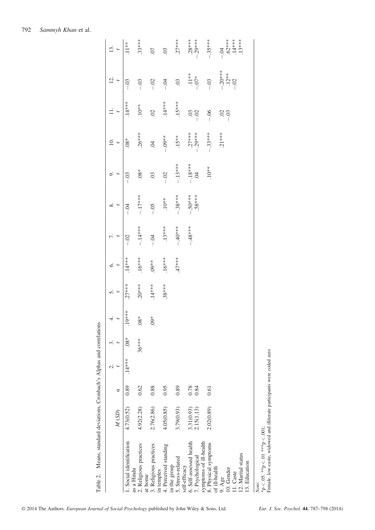|                                                                                                                                                                                                                                                                                                                              |                          |              |          |        |          |          | ∘        |           |                     |                         | Ξ.                     |                           | $\overline{5}$             | 13.                  |
|------------------------------------------------------------------------------------------------------------------------------------------------------------------------------------------------------------------------------------------------------------------------------------------------------------------------------|--------------------------|--------------|----------|--------|----------|----------|----------|-----------|---------------------|-------------------------|------------------------|---------------------------|----------------------------|----------------------|
|                                                                                                                                                                                                                                                                                                                              | $M(SD)$                  | ರ            |          |        | H        |          |          |           |                     |                         |                        | $\overline{a}$            |                            |                      |
| I. Social identification<br>as a Hindu                                                                                                                                                                                                                                                                                       | 4.73(0.52)               | 0.89         | $.14***$ | $.08*$ | $.19***$ | $27***$  | $.14***$ | $-.02$    | $-0.4$              | $-0.03$                 | $08*$                  | $.14***$                  | $-.03$                     | $.11**$              |
| 2. Religious practices<br>at home                                                                                                                                                                                                                                                                                            | 4.92(2.28)               | 0.62         |          | 36**** | $.08*$   | $.20***$ | $.16***$ | $-.14***$ | $-.17***$           | $.08*$                  | $.26***$               | $.10**$                   | $-03$                      | $.33***$             |
| 3. Religious practices<br>in temples                                                                                                                                                                                                                                                                                         | 2.76(2.86)               | 0.88         |          |        | $.09*$   | $.14***$ | $.09**$  | $-0.4$    | $-0.05$             | $\overline{0}$          | S.                     | $\widetilde{\mathcal{C}}$ | $-0.02$                    | 07                   |
| 4. Perceived standing<br>in the group                                                                                                                                                                                                                                                                                        | 4.05(0.85)               | 0.95         |          |        |          | $.38***$ | $.16***$ | $.13***$  | $.10**$             | $-0.02$                 | $-0.0$                 | $.14***$                  | $-0.4$                     | $\ddot{\circ}$       |
| 5. Stress-related<br>self-efficacy                                                                                                                                                                                                                                                                                           | 3.79(0.93)               | 0.89         |          |        |          |          | $47***$  | $-40***$  | $-38***$            | $-.13***$               | $.15**$                | $.15***$                  | $\overline{0}$             | $.27***$             |
| 6. Self-assessed health<br>7. Psychological                                                                                                                                                                                                                                                                                  | 3.31(0.93)<br>2.15(1.13) | 0.78<br>0.84 |          |        |          |          |          | $-.48***$ | .58***<br>$-.50***$ | $-.18***$<br>$\ddot{q}$ | $-0.29***$<br>$.27***$ | $\ddot{0}$<br>$-.02$      | $.11**$<br>$-0.07*$        | $.28***$<br>$-29***$ |
| symptoms of ill-health<br>8. Physical symptoms<br>of ill-health                                                                                                                                                                                                                                                              | 2.02(0.89)               | 0.61         |          |        |          |          |          |           |                     | $.10**$                 | $-.33***$              | $-0.06$                   | $-0.03$                    | $-.35***$            |
| 10. Gender<br>9. Age                                                                                                                                                                                                                                                                                                         |                          |              |          |        |          |          |          |           |                     |                         | $.21***$               | $rac{3}{2}$               | $-20***$<br>$.12**$<br>-02 | $.62***$<br>$-0.4$   |
| 12. Marital status<br>13. Education<br>11. Caste                                                                                                                                                                                                                                                                             |                          |              |          |        |          |          |          |           |                     |                         |                        |                           |                            | $.13***$<br>$.14***$ |
| $\frac{1}{2}$ $\frac{1}{2}$ $\frac{1}{2}$ $\frac{1}{2}$ $\frac{1}{2}$ $\frac{1}{2}$ $\frac{1}{2}$ $\frac{1}{2}$ $\frac{1}{2}$ $\frac{1}{2}$ $\frac{1}{2}$ $\frac{1}{2}$ $\frac{1}{2}$ $\frac{1}{2}$ $\frac{1}{2}$ $\frac{1}{2}$ $\frac{1}{2}$ $\frac{1}{2}$ $\frac{1}{2}$ $\frac{1}{2}$ $\frac{1}{2}$ $\frac{1}{2}$<br>Note: |                          |              |          |        |          |          |          |           |                     |                         |                        |                           |                            |                      |

Table 2. Means, standard deviations, Cronbach's Alphas and correlations Table 2. Means, standard deviations, Cronbach's Alphas and correlations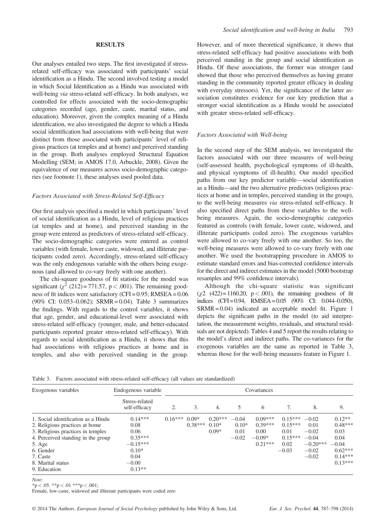## RESULTS

Our analyses entailed two steps. The first investigated if stressrelated self-efficacy was associated with participants' social identification as a Hindu. The second involved testing a model in which Social Identification as a Hindu was associated with well-being via stress-related self-efficacy. In both analyses, we controlled for effects associated with the socio-demographic categories recorded (age, gender, caste, marital status, and education). Moreover, given the complex meaning of a Hindu identification, we also investigated the degree to which a Hindu social identification had associations with well-being that were distinct from those associated with participants' level of religious practices (at temples and at home) and perceived standing in the group. Both analyses employed Structural Equation Modelling (SEM; in AMOS 17.0, Arbuckle, 2008). Given the equivalence of our measures across socio-demographic categories (see footnote 1), these analyses used pooled data.

#### Factors Associated with Stress-Related Self-Efficacy

Our first analysis specified a model in which participants' level of social identification as a Hindu, level of religious practices (at temples and at home), and perceived standing in the group were entered as predictors of stress-related self-efficacy. The socio-demographic categories were entered as control variables (with female, lower caste, widowed, and illiterate participants coded zero). Accordingly, stress-related self-efficacy was the only endogenous variable with the others being exogenous (and allowed to co-vary freely with one another).

The chi-square goodness of fit statistic for the model was significant  $(\chi^2 (212) = 771.57, p < .001)$ . The remaining goodness of fit indices were satisfactory (CFI =  $0.95$ ; RMSEA =  $0.06$ ) (90% CI: 0.053–0.062); SRMR = 0.04). Table 3 summarizes the findings. With regards to the control variables, it shows that age, gender, and educational-level were associated with stress-related self-efficacy (younger, male, and better-educated participants reported greater stress-related self-efficacy). With regards to social identification as a Hindu, it shows that this had associations with religious practices at home and in temples, and also with perceived standing in the group.

However, and of more theoretical significance, it shows that stress-related self-efficacy had positive associations with both perceived standing in the group and social identification as Hindu. Of these associations, the former was stronger (and showed that those who perceived themselves as having greater standing in the community reported greater efficacy in dealing with everyday stressors). Yet, the significance of the latter association constitutes evidence for our key prediction that a stronger social identification as a Hindu would be associated with greater stress-related self-efficacy.

#### Factors Associated with Well-being

In the second step of the SEM analysis, we investigated the factors associated with our three measures of well-being (self-assessed health, psychological symptoms of ill-health, and physical symptoms of ill-health). Our model specified paths from our key predictor variable—social identification as a Hindu—and the two alternative predictors (religious practices at home and in temples, perceived standing in the group), to the well-being measures via stress-related self-efficacy. It also specified direct paths from these variables to the wellbeing measures. Again, the socio-demographic categories featured as controls (with female, lower caste, widowed, and illiterate participants coded zero). The exogenous variables were allowed to co-vary freely with one another. So too, the well-being measures were allowed to co-vary freely with one another. We used the bootstrapping procedure in AMOS to estimate standard errors and bias-corrected confidence intervals for the direct and indirect estimates in the model (5000 bootstrap resamples and 99% confidence intervals).

Although the chi-square statistic was significant  $(\chi^2 \, (422) = 1160.20, \, p < .001)$ , the remaining goodness of fit indices  $(CFI = 0.94$ , RMSEA =  $0.05$   $(90\%$  CI:  $0.044 - 0.050)$ ,  $SRMR = 0.04$ ) indicated an acceptable model fit. Figure 1 depicts the significant paths in the model (to aid interpretation, the measurement weights, residuals, and structural residuals are not depicted). Tables 4 and 5 report the results relating to the model's direct and indirect paths. The co-variances for the exogenous variables are the same as reported in Table 3, whereas those for the well-being measures feature in Figure 1.

Table 3. Factors associated with stress-related self-efficacy (all values are standardized)

| Exogenous variables                 | Endogenous variable             |           |           |           |         | Covariances    |           |            |           |
|-------------------------------------|---------------------------------|-----------|-----------|-----------|---------|----------------|-----------|------------|-----------|
|                                     | Stress-related<br>self-efficacy | 2.        | 3.        | 4.        | 5       | 6              | 7.        | 8.         | 9.        |
| 1. Social identification as a Hindu | $0.14***$                       | $0.16***$ | $0.09*$   | $0.20***$ | $-0.04$ | $0.09***$      | $0.15***$ | $-0.02$    | $0.12**$  |
| 2. Religious practices at home      | 0.08                            |           | $0.38***$ | $0.10*$   | $0.10*$ | $0.39***$      | $0.15***$ | 0.01       | $0.48***$ |
| 3. Religious practices in temples   | 0.06                            |           |           | $0.09*$   | 0.01    | $0.00^{\circ}$ | 0.01      | $-0.02$    | 0.03      |
| 4. Perceived standing in the group  | $0.35***$                       |           |           |           | $-0.02$ | $-0.09*$       | $0.15***$ | $-0.04$    | 0.04      |
| 5. Age                              | $-0.15***$                      |           |           |           |         | $0.21***$      | 0.02      | $-0.20***$ | $-0.04$   |
| 6. Gender                           | $0.10*$                         |           |           |           |         |                | $-0.03$   | $-0.02$    | $0.62***$ |
| 7. Caste                            | 0.04                            |           |           |           |         |                |           | $-0.02$    | $0.14***$ |
| 8. Marital status                   | $-0.00$                         |           |           |           |         |                |           |            | $0.13***$ |
| 9. Education                        | $0.13**$                        |           |           |           |         |                |           |            |           |

Note:

 $*p < .05.$  \*\*p $< .01$  \*\*\*p $< .001;$ 

Female, low-caste, widowed and illiterate participants were coded zero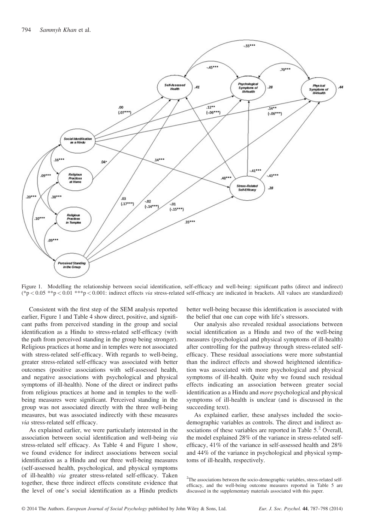

Figure 1. Modelling the relationship between social identification, self-efficacy and well-being: significant paths (direct and indirect)  $(*p < 0.05 **p < 0.01 **p < 0.001$ : indirect effects via stress-related self-efficacy are indicated in brackets. All values are standardized)

Consistent with the first step of the SEM analysis reported earlier, Figure 1 and Table 4 show direct, positive, and significant paths from perceived standing in the group and social identification as a Hindu to stress-related self-efficacy (with the path from perceived standing in the group being stronger). Religious practices at home and in temples were not associated with stress-related self-efficacy. With regards to well-being, greater stress-related self-efficacy was associated with better outcomes (positive associations with self-assessed health, and negative associations with psychological and physical symptoms of ill-health). None of the direct or indirect paths from religious practices at home and in temples to the wellbeing measures were significant. Perceived standing in the group was not associated directly with the three well-being measures, but was associated indirectly with these measures via stress-related self efficacy.

As explained earlier, we were particularly interested in the association between social identification and well-being via stress-related self efficacy. As Table 4 and Figure 1 show, we found evidence for indirect associations between social identification as a Hindu and our three well-being measures (self-assessed health, psychological, and physical symptoms of ill-health) via greater stress-related self-efficacy. Taken together, these three indirect effects constitute evidence that the level of one's social identification as a Hindu predicts

better well-being because this identification is associated with the belief that one can cope with life's stressors.

Our analysis also revealed residual associations between social identification as a Hindu and two of the well-being measures (psychological and physical symptoms of ill-health) after controlling for the pathway through stress-related selfefficacy. These residual associations were more substantial than the indirect effects and showed heightened identification was associated with more psychological and physical symptoms of ill-health. Quite why we found such residual effects indicating an association between greater social identification as a Hindu and more psychological and physical symptoms of ill-health is unclear (and is discussed in the succeeding text).

As explained earlier, these analyses included the sociodemographic variables as controls. The direct and indirect associations of these variables are reported in Table  $5<sup>2</sup>$  Overall, the model explained 28% of the variance in stress-related selfefficacy, 41% of the variance in self-assessed health and 28% and 44% of the variance in psychological and physical symptoms of ill-health, respectively.

<sup>2</sup>The associations between the socio-demographic variables, stress-related selfefficacy, and the well-being outcome measures reported in Table 5 are discussed in the supplementary materials associated with this paper.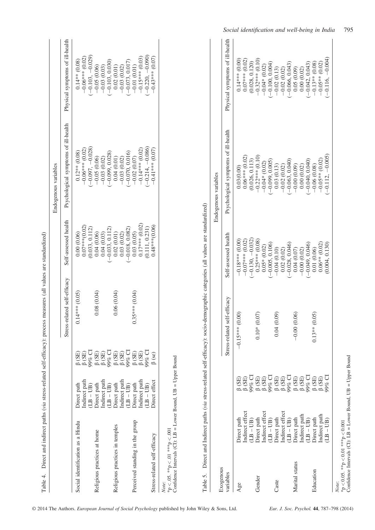|                                                                                                                     |                              |              |                              |                      | Endogenous variables                 |                                   |
|---------------------------------------------------------------------------------------------------------------------|------------------------------|--------------|------------------------------|----------------------|--------------------------------------|-----------------------------------|
|                                                                                                                     |                              |              | Stress-related self-efficacy | Self-assessed health | Psychological symptoms of ill-health | Physical symptoms of ill-health   |
| Social identification as a Hindu                                                                                    | Direct path                  | (SE)         | $14***$ (0.05)               | 0.00(0.06)           | $0.12**$ (0.08)                      | $0.14**$ (0.08)                   |
|                                                                                                                     |                              | $\beta$ (SE) |                              | $0.07***(0.02)$      | $-0.06***$ (0.02)                    | $-0.06***(0.02)$                  |
|                                                                                                                     | Indirect path<br>$(LB - UB)$ | 99% CI       |                              | (0.033, 0.112)       | $-0.097, -0.028$                     |                                   |
| Religious practices at home                                                                                         | Direct path                  | $\beta$ (SE) | 0.08(0.04)                   | 0.04(0.06)           | $-0.05(0.06)$                        | $-0.103, -0.029$<br>$-0.05(0.06)$ |
|                                                                                                                     | Indirect path                | $\beta$ (SE) |                              | 0.04(0.03)           | $-0.03(0.02)$                        | $-0.03(0.03)$                     |
|                                                                                                                     | $LB - UB)$                   | 99% CI       |                              | $-0.033, 0.112$      | $-0.099, 0.028$                      | $-0.103, 0.030)$                  |
| Religious practices in temples                                                                                      | Direct path<br>Indirect path | $\beta$ (SE) | 0.06(0.04)                   | 0.02(0.01)           | 0.04(0.01)                           | 0.02(0.01)                        |
|                                                                                                                     |                              | $\beta$ (SE) |                              | 0.03(0.02)           | $-0.03(0.02)$                        | $-0.03(0.02)$                     |
|                                                                                                                     | $LB - UB)$                   | 99% CI       |                              | $-0.018, 0.082$      | $-0.070, 0.016$                      | $-0.073, 0.017$                   |
| Perceived standing in the group                                                                                     | Direct path                  | $\beta$ (SE) | $0.35***$ (0.04)             | 0.03 (0.05)          | $-0.02(0.07)$                        | $-0.01(0.01)$                     |
|                                                                                                                     | Indirect path                | $\beta$ (SE) |                              | $0.17***$ (0.02)     | $-0.14***$ (0.02)                    | $-0.15***$ (0.03)                 |
|                                                                                                                     | $LB - UB)$                   | 99% CI       |                              | (0.111, 0.231)       | $-0.214, -0.086$                     | $-0.220, -0.090$                  |
| Stress-related self-efficacy                                                                                        | Direct effect                | $\beta$ (se) |                              | $0.48***(0.06)$      | $0.41***$ (0.07)                     | $-0.43***(0.07)$                  |
| Confidence Intervals (CI): LB = Lower Bound, UB = Upper Bound<br>* $p < .05$ . ** $p < .01$ *** $p < .001$<br>Note: |                              |              |                              |                      |                                      |                                   |
|                                                                                                                     |                              |              |                              |                      |                                      |                                   |

Table 4. Direct and indirect paths (via stress-related self-efficacy): process measures (all values are standardized)

Table 4. Direct and indirect paths (via stress-related self-efficacy): process measures (all values are standardized)

Direct and Indirect paths (via stress-related self-efficacy): socio-demographic categories (all values are standardized) Table 5. Direct and Indirect paths (via stress-related self-efficacy): socio-demographic categories (all values are standardized) Table 5.

|                                             |                                                               |                                                                         |                              |                                                                 | Endogenous variables                                                      |                                                        |
|---------------------------------------------|---------------------------------------------------------------|-------------------------------------------------------------------------|------------------------------|-----------------------------------------------------------------|---------------------------------------------------------------------------|--------------------------------------------------------|
| Exogenous<br>variables                      |                                                               |                                                                         | Stress-related self-efficacy | Self-assessed health                                            | Psychological symptoms of ill-health                                      | Physical symptoms of ill-health                        |
| Age                                         | Indirect effect<br>Direct path                                | $\beta$ (SE)<br>(SE)                                                    | $-0.15***$ (0.00)            | $-0.18***$ (0.00)<br>$-0.07***$ (0.02)                          | $0.06***$ (0.02)<br>0.03(0.00)                                            | $0.14***$ (0.00)<br>$0.07***$ (0.02)                   |
|                                             | $LB - UB)$                                                    | 10 % 66                                                                 |                              | $\begin{array}{r} -0.130, -0.032 \\ 0.25*** (0.08) \end{array}$ | $(0.026, 0.113)$<br>-0.22*** (0.10)                                       | $(0.028, 0.120)$<br>$-0.32** (0.10)$<br>$-0.04*(0.02)$ |
| Gender                                      | Indirect effect<br>Direct path                                | (SE)<br>(SE)                                                            | $0.10*0.07$                  | $0.05*(0.02)$                                                   | $-0.04*$ (0.02)                                                           |                                                        |
|                                             | $LB - UB)$                                                    | 99% CI                                                                  |                              | $-0.005, 0.106$                                                 |                                                                           |                                                        |
| Caste                                       | Direct path                                                   | $3$ (SE)<br>$3$ (SE)                                                    | 0.04(0.09)                   | $-0.04(0.10)$                                                   | $(-0.099, 0.005)$<br>$0.03$ (0.13)<br>$-0.02$ (0.02)<br>$(-0.063, 0.040)$ | $(-0.100, 0.004)$<br>$-0.02$ (0.13)                    |
|                                             | Indirect effect                                               |                                                                         |                              | 0.02(0.02)                                                      |                                                                           | $-0.02(0.02)$                                          |
|                                             | $LB - UB)$                                                    | 1D %66                                                                  |                              | $-0.028, 0.046$                                                 |                                                                           | $-0.066, 0.043)$                                       |
| Marital status                              | Direct path                                                   |                                                                         | $-0.00(0.06)$                | 0.04(0.07)                                                      | $-0.00(0.09)$                                                             | 0.05(0.09)                                             |
|                                             | Indirect path                                                 | $\begin{array}{c} \beta \text{ (SE)} \\ \beta \text{ (SE)} \end{array}$ |                              | $-0.00(0.02)$                                                   | 0.00(0.02)                                                                | 0.00(0.02)                                             |
|                                             | $(LB - UB)$                                                   | 99% CI                                                                  |                              | $-0.049, 0.046$                                                 | $-0.040, 0.040$                                                           | $-0.042, 0.043)$                                       |
| Education                                   | Direct path                                                   | $\beta$ (SE)                                                            | $0.13**$ (0.05)              | 0.01 (0.06)                                                     | $-0.06(0.08)$                                                             | $-0.13**$ (0.08)                                       |
|                                             | indirect path                                                 | (SE)                                                                    |                              | $0.06**$ (0.02)                                                 | $-0.05**$ (0.02)                                                          | $-0.05**$ (0.02)                                       |
|                                             | $LB - UB)$                                                    | 10 % 66                                                                 |                              | (0.004, 0.130)                                                  | $-0.112, -0.005$                                                          | $-0.116, -0.004$                                       |
| *p < 0.05. **p < 0.01 ***p < 0.001<br>Note: | Confidence Intervals (CI): LB = Lower Bound, UB = Upper Bound |                                                                         |                              |                                                                 |                                                                           |                                                        |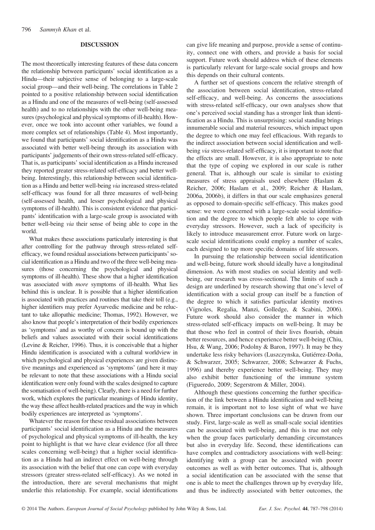## **DISCUSSION**

The most theoretically interesting features of these data concern the relationship between participants' social identification as a Hindu—their subjective sense of belonging to a large-scale social group—and their well-being. The correlations in Table 2 pointed to a positive relationship between social identification as a Hindu and one of the measures of well-being (self-assessed health) and to no relationships with the other well-being measures (psychological and physical symptoms of ill-health). However, once we took into account other variables, we found a more complex set of relationships (Table 4). Most importantly, we found that participants' social identification as a Hindu was associated with better well-being through its association with participants' judgements of their own stress-related self-efficacy. That is, as participants' social identification as a Hindu increased they reported greater stress-related self-efficacy and better wellbeing. Interestingly, this relationship between social identification as a Hindu and better well-being via increased stress-related self-efficacy was found for all three measures of well-being (self-assessed health, and lesser psychological and physical symptoms of ill-health). This is consistent evidence that participants' identification with a large-scale group is associated with better well-being via their sense of being able to cope in the world.

What makes these associations particularly interesting is that after controlling for the pathway through stress-related selfefficacy, we found residual associations between participants'social identification as a Hindu and two of the three well-being measures (those concerning the psychological and physical symptoms of ill-health). These show that a higher identification was associated with more symptoms of ill-health. What lies behind this is unclear. It is possible that a higher identification is associated with practices and routines that take their toll (e.g., higher identifiers may prefer Ayurvedic medicine and be reluctant to take allopathic medicine; Thomas, 1992). However, we also know that people's interpretation of their bodily experiences as 'symptoms' and as worthy of concern is bound up with the beliefs and values associated with their social identifications (Levine & Reicher, 1996). Thus, it is conceivable that a higher Hindu identification is associated with a cultural worldview in which psychological and physical experiences are given distinctive meanings and experienced as 'symptoms' (and here it may be relevant to note that these associations with a Hindu social identification were only found with the scales designed to capture the somatisation of well-being). Clearly, there is a need for further work, which explores the particular meanings of Hindu identity, the way these affect health-related practices and the way in which bodily experiences are interpreted as 'symptoms'.

Whatever the reason for these residual associations between participants' social identification as a Hindu and the measures of psychological and physical symptoms of ill-health, the key point to highlight is that we have clear evidence (for all three scales concerning well-being) that a higher social identification as a Hindu had an indirect effect on well-being through its association with the belief that one can cope with everyday stressors (greater stress-related self-efficacy). As we noted in the introduction, there are several mechanisms that might underlie this relationship. For example, social identifications

can give life meaning and purpose, provide a sense of continuity, connect one with others, and provide a basis for social support. Future work should address which of these elements is particularly relevant for large-scale social groups and how this depends on their cultural contents.

A further set of questions concern the relative strength of the association between social identification, stress-related self-efficacy, and well-being. As concerns the associations with stress-related self-efficacy, our own analyses show that one's perceived social standing has a stronger link than identification as a Hindu. This is unsurprising: social standing brings innumerable social and material resources, which impact upon the degree to which one may feel efficacious. With regards to the indirect association between social identification and wellbeing via stress-related self-efficacy, it is important to note that the effects are small. However, it is also appropriate to note that the type of coping we explored in our scale is rather general. That is, although our scale is similar to existing measures of stress appraisals used elsewhere (Haslam & Reicher, 2006; Haslam et al., 2009; Reicher & Haslam, 2006a, 2006b), it differs in that our scale emphasizes general as opposed to domain-specific self-efficacy. This makes good sense: we were concerned with a large-scale social identification and the degree to which people felt able to cope with everyday stressors. However, such a lack of specificity is likely to introduce measurement error. Future work on largescale social identifications could employ a number of scales, each designed to tap more specific domains of life stressors.

In pursuing the relationship between social identification and well-being, future work should ideally have a longitudinal dimension. As with most studies on social identity and wellbeing, our research was cross-sectional. The limits of such a design are underlined by research showing that one's level of identification with a social group can itself be a function of the degree to which it satisfies particular identity motives (Vignoles, Regalia, Manzi, Golledge, & Scabini, 2006). Future work should also consider the manner in which stress-related self-efficacy impacts on well-being. It may be that those who feel in control of their lives flourish, obtain better resources, and hence experience better well-being (Chiu, Hsu, & Wang, 2006; Podolny & Baron, 1997). It may be they undertake less risky behaviors (Luszczynska, Gutiérrez-Doña, & Schwarzer, 2005; Schwarzer, 2008; Schwarzer & Fuchs, 1996) and thereby experience better well-being. They may also exhibit better functioning of the immune system (Figueredo, 2009; Segerstrom & Miller, 2004).

Although these questions concerning the further specification of the link between a Hindu identification and well-being remain, it is important not to lose sight of what we have shown. Three important conclusions can be drawn from our study. First, large-scale as well as small-scale social identities can be associated with well-being, and this is true not only when the group faces particularly demanding circumstances but also in everyday life. Second, these identifications can have complex and contradictory associations with well-being: identifying with a group can be associated with poorer outcomes as well as with better outcomes. That is, although a social identification can be associated with the sense that one is able to meet the challenges thrown up by everyday life, and thus be indirectly associated with better outcomes, the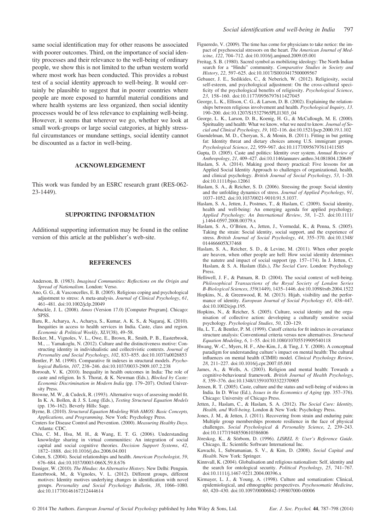same social identification may for other reasons be associated with poorer outcomes. Third, on the importance of social identity processes and their relevance to the well-being of ordinary people, we show this is not limited to the urban western world where most work has been conducted. This provides a robust test of a social identity approach to well-being. It would certainly be plausible to suggest that in poorer countries where people are more exposed to harmful material conditions and where health systems are less organized, then social identity processes would be of less relevance to explaining well-being. However, it seems that wherever we go, whether we look at small work-groups or large social categories, at highly stressful circumstances or mundane settings, social identity cannot be discounted as a factor in well-being.

#### ACKNOWLEDGEMENT

This work was funded by an ESRC research grant (RES-062- 23-1449).

#### SUPPORTING INFORMATION

Additional supporting information may be found in the online version of this article at the publisher's web-site.

#### REFERENCES

- Anderson, B. (1983). Imagined Communities: Reflections on the Origin and Spread of Nationalism. London: Verso.
- Ano, G. G., & Vasconcelles, E. B. (2005). Religious coping and psychological adjustment to stress: A meta-analysis. Journal of Clinical Psychology, 61, 461–481. doi:10.1002/jclp.20049
- Arbuckle, J. L. (2008). Amos (Version 17.0) [Computer Program]. Chicago: SPSS.
- Baru, R., Acharya, A., Acharya, S., Kumar, A. K. S., & Nagaraj, K. (2010). Inequities in access to health services in India. Caste, class and region. Economic & Political Weekly, XLV(38), 49–58.
- Becker, M., Vignoles, V. L., Owe, E., Brown, R., Smith, P. B., Easterbrook, M., ... Yamakoglu, N. (2012). Culture and the distinctiveness motive: Constructing identity in individualistic and collectivistic contexts. Journal of Personality and Social Psychology, 102, 833–855. doi:10.1037/a0026853
- Bentler, P. M. (1990). Comparative fit indexes in structural models. Psychological Bulletin, 107, 238–246. doi:10.1037/0033-2909.107.2.238
- Borooah, V. K. (2010). Inequality in health outcomes in India: The role of caste and religion. In S. Thorat, & K. Newman (Eds.), Blocked by Caste: Economic Discrimination in Modern India (pp. 179–207). Oxford University Press.
- Browne, M. W., & Cudeck, R. (1993). Alternative ways of assessing model fit. In K. A. Bollen, & J. S. Long (Eds.), Testing Structural Equation Models (pp. 136–162). Beverly Hills: Sage.
- Byrne, B. (2010). Structural Equation Modeling With AMOS: Basic Concepts, Applications, and Programming. New York: Psychology Press.
- Centers for Disease Control and Prevention. (2000). Measuring Healthy Days. Atlanta: CDC.
- Chiu, C. M., Hsu, M. H., & Wang, E. T. G. (2006). Understanding knowledge sharing in virtual communities: An integration of social capital and social cognitive theories. Decision Support Systems, 42, 1872–1888. doi:10.1016/j.dss.2006.04.001
- Cohen, S. (2004). Social relationships and health. American Psychologist, 59, 676–684. doi:10.1037/0003-066X.59.8.676

Doniger, W. (2010). The Hindus: An Alternative History. New Delhi: Penguin.

Easterbrook, M., & Vignoles, V. L. (2012). Different groups, different motives: Identity motives underlying changes in identification with novel groups. Personality and Social Psychology Bulletin, 38, 1066–1080. doi:10.1177/0146167212444614

- Figueredo, V. (2009). The time has come for physicians to take notice: the impact of psychosocial stressors on the heart. The American Journal of Medicine, 122, 704–712. doi:10.1016/j.amjmed.2009.05.001
- Freitag, S. B. (1980). Sacred symbol as mobilizing ideology: The North Indian search for a "Hindu" community. Comparative Studies in Society and History, 22, 597–625. doi:10.1017/S0010417500009567
- Gebauer, J. E., Sedikides, C., & Neberich, W. (2012). Religiosity, social self-esteem, and psychological adjustment: On the cross-cultural specificity of the psychological benefits of religiosity. Psychological Science, 23, 158–160. doi:10.1177/0956797611427045
- George, L. K., Ellison, C. G., & Larson, D. B. (2002). Explaining the relationships between religious involvement and health. Psychological Inquiry, 13. 190–200. doi:10.1207/S15327965PLI1303\_04
- George, L. K., Larson, D. B., Koenig, H. G., & McCullough, M. E. (2000). Spirituality and health: What we know, what we need to know. Journal of Social and Clinical Psychology, 19, 102–116. doi:10.1521/jscp.2000.19.1.102
- Guendelman, M. D., Cheryan, S., & Monin, B. (2011). Fitting in but getting fat: Identity threat and dietary choices among U.S. immigrant groups. Psychological Science, 22, 959–967. doi:10.1177/0956797611411585
- Gupta, D. (2005). Caste and politics: Identity over system. Annual Review of Anthropology, 21, 409–427. doi:10.1146/annurev.anthro.34.081804.120649
- Haslam, S. A. (2014). Making good theory practical: Five lessons for an Applied Social Identity Approach to challenges of organizational, health, and clinical psychology. British Journal of Social Psychology, 53, 1–20. doi:10.1111/bjso.12061
- Haslam, S. A., & Reicher, S. D. (2006). Stressing the group: Social identity and the unfolding dynamics of stress. Journal of Applied Psychology, 91, 1037–1052. doi:10.1037/0021-9010.91.5.1037.
- Haslam, S. A., Jetten, J., Postmes, T., & Haslam, C. (2009). Social identity, health and well-being: An emerging agenda for applied psychology. Applied Psychology: An International Review, 58, 1–23. doi:10.1111/ j.1464-0597.2008.00379.x
- Haslam, S. A., O'Brien, A., Jetten, J., Vormedal, K., & Penna, S. (2005). Taking the strain: Social identity, social support, and the experience of stress. British Journal of Social Psychology, 44, 355–370. doi:10.1348/ 014466605X37468
- Haslam, S. A., Reicher, S. D., & Levine, M. (2011). When other people are heaven, when other people are hell: How social identity determines the natutre and impact of social support (pp. 157–174). In J. Jetten, C. Haslam, & S. A. Haslam (Eds.), The Social Cure. London: Psychology Press.
- Helliwell, J. F., & Putnam, R. D. (2004). The social context of well-being. Philosophical Transactions of the Royal Society of London Series B-Biological Sciences, 359(1449), 1435–1446. doi:10.1098/rstb.2004.1522
- Hopkins, N., & Greenwood, R. M. (2013). Hijab, visibility and the performance of identity. European Journal of Social Psychology 43, 438–447. doi:10.1002/ejsp.195.
- Hopkins, N., & Reicher, S. (2005). Culture, social identity and the organisation of collective action: developing a culturally sensitive social psychology. Psychological Studies, 50, 120–129.
- Hu, L. T., & Bentler, P. M. (1999). Cutoff criteria for fit indexes in covariance structure analysis: Conventional criteria versus new alternatives. Structural Equation Modeling, 6, 1–55. doi:10.1080/10705519909540118
- Hwang, W.-C., Myers, H. F., Abe-Kim, J., & Ting, J. Y. (2008). A conceptual paradigm for understanding culture's impact on mental health: The cultural influences on mental health (CIMH) model. Clinical Psychology Review, 28, 211–227. doi:10.1016/j.cpr.2007.05.001
- James, A., & Wells, A. (2003). Religion and mental health: Towards a cognitive-behavioural framework. British Journal of Health Psychology, 8, 359–376. doi:10.1348/135910703322370905
- Jensen, R. T. (2005). Caste, culture and the status and well-being of widows in India. In D. Wise (Ed.), Issues in the Economics of Aging (pp. 357–376). Chicago: University of Chicago Press.
- Jetten, J., Haslam, C., & Haslam, S. A. (2012). The Social Cure: Identity, Health, and Well-being. London & New York: Psychology Press.
- Jones, J. M., & Jetten, J. (2011). Recovering from strain and enduring pain: Multiple group memberships promote resilience in the face of physical challenges. Social Psychological & Personality Science, 2, 239–243. doi:10.1177/1948550610386806
- Jöreskog, K., & Sörbom, D. (1996). LISREL 8: User's Reference Guide. Chicago, IL: Scientific Software International Inc.
- Kawachi, I., Subramanian, S. V., & Kim, D. (2008). Social Capital and Health. New York: Springer.
- Kinnvall, K. (2004). Globalisation and religious nationalism: Self, identity and the search for ontological security. Political Psychology, 25, 741–767. doi:10.1111/j.1467-9221.2004.00396.x
- Kirmayer, L. J., & Young, A. (1998). Culture and somatization: Clinical, epidemiological, and ethnographic perspectives. Psychosomatic Medicine, 60, 420–430. doi:10.1097/00006842-199807000-00006